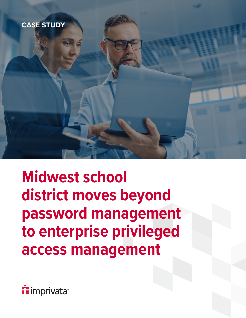

**Midwest school district moves beyond password management to enterprise privileged access management**

*i* imprivata<sup>®</sup>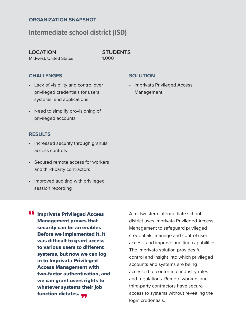#### **ORGANIZATION SNAPSHOT**

### **Intermediate school district (ISD)**

#### **LOCATION**

Midwest, United States

**STUDENTS** 1,000+

#### **CHALLENGES**

- Lack of visibility and control over privileged credentials for users, systems, and applications
- Need to simplify provisioning of privileged accounts

#### **RESULTS**

- Increased security through granular access controls
- Secured remote access for workers and third-party contractors
- Improved auditing with privileged session recording
- **66** Imprivata Privileged Access<br>Management proves that Management proves that security can be an enabler. Before we implemented it, it was difficult to grant access to various users to different systems, but now we can log in to Imprivata Privileged Access Management with two-factor authentication, and we can grant users rights to whatever systems their job function dictates. <sub>99</sub>

A midwestern intermediate school district uses Imprivata Privileged Access Management to safeguard privileged credentials, manage and control user access, and improve auditing capabilities. The Imprivata solution provides full control and insight into which privileged accounts and systems are being accessed to conform to industry rules and regulations. Remote workers and third-party contractors have secure access to systems without revealing the login credentials.

#### **SOLUTION**

• Imprivata Privileged Access Management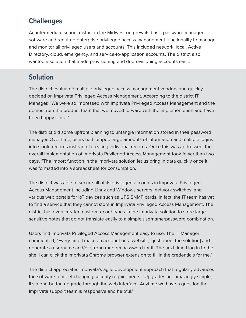## **Challenges**

An intermediate school district in the Midwest outgrew its basic password manager software and required enterprise privileged access management functionality to manage and monitor all privileged users and accounts. This included network, local, Active Directory, cloud, emergency, and service-to-application accounts. The district also wanted a solution that made provisioning and deprovisioning accounts easier.

## **Solution**

The district evaluated multiple privileged access management vendors and quickly decided on Imprivata Privileged Access Management. According to the district IT Manager, "We were so impressed with Imprivata Privileged Access Management and the demos from the product team that we moved forward with the implementation and have been happy since."

The district did some upfront planning to untangle information stored in their password manager. Over time, users had lumped large amounts of information and multiple logins into single records instead of creating individual records. Once this was addressed, the overall implementation of Imprivata Privileged Access Management took fewer than two days. "The import function in the Imprivata solution let us bring in data quickly once it was formatted into a spreadsheet for consumption."

The district was able to secure all of its privileged accounts in Imprivata Privileged Access Management including Linux and Windows servers, network switches, and various web portals for IoT devices such as UPS SNMP cards. In fact, the IT team has yet to find a service that they cannot store in Imprivata Privileged Access Management. The district has even created custom record types in the Imprivata solution to store large sensitive notes that do not translate easily to a simple username/password combination.

Users find Imprivata Privileged Access Management easy to use. The IT Manager commented, "Every time I make an account on a website, I just open [the solution] and generate a username and/or strong random password for it. The next time I log in to the site, I can click the Imprivata Chrome browser extension to fill in the credentials for me."

The district appreciates Imprivata's agile development approach that regularly advances the software to meet changing security requirements. "Upgrades are amazingly simple, it's a one-button upgrade through the web interface. Anytime we have a question the Imprivata support team is responsive and helpful."